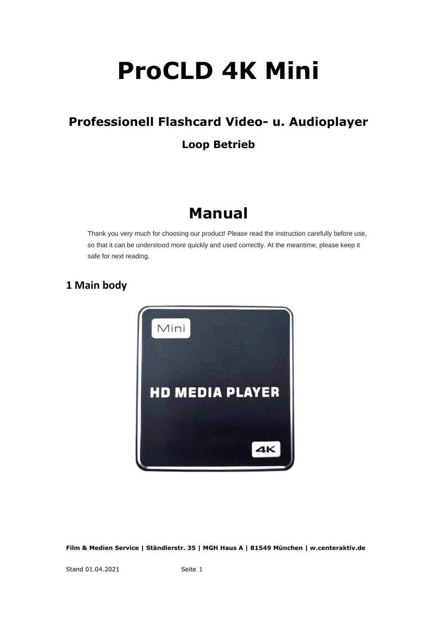# **ProCLD 4K Mini**

## **Professionell Flashcard Video- u. Audioplayer**

### **Loop Betrieb**

# **Manual**

Thank you very much for choosing our product! Please read the instruction carefully before use, so that it can be understood more quickly and used correctly. At the meantime, please keep it safe for next reading.

### **1 Main body**

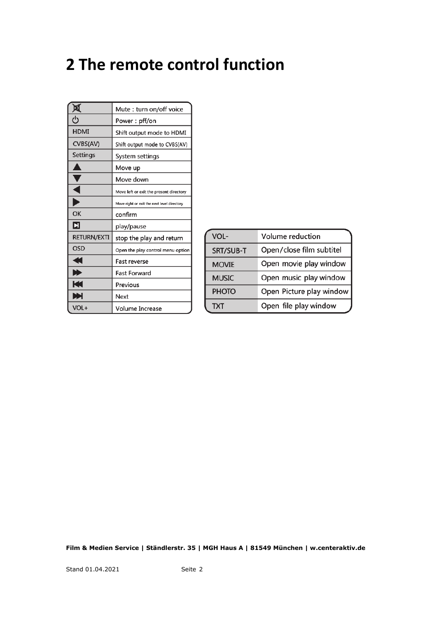# **2 The remote control function**

|                       | Mute : turn on/off voice                    |
|-----------------------|---------------------------------------------|
| ტ                     | Power: pff/on                               |
| HDMI                  |                                             |
|                       | Shift output mode to HDMI                   |
| CVBS(AV)              | Shift output mode to CVBS(AV)               |
| Settings              | System settings                             |
|                       | Move up                                     |
|                       | Move down                                   |
|                       | Move left or exit the present directory     |
|                       | Move right or exit the next level directory |
| OK                    | confirm                                     |
| $\blacksquare$        | play/pause                                  |
| RETURN/EXTI           | stop the play and return                    |
| <b>OSD</b>            | Open the play control menu option           |
| 55                    | <b>Fast reverse</b>                         |
| $\blacktriangleright$ | <b>Fast Forward</b>                         |
| KK                    | Previous                                    |
| Ы                     | Next                                        |
| VOL+                  | Volume Increase                             |

| Volume reduction         |
|--------------------------|
| Open/close film subtitel |
| Open movie play window   |
| Open music play window   |
| Open Picture play window |
| Open file play window    |
|                          |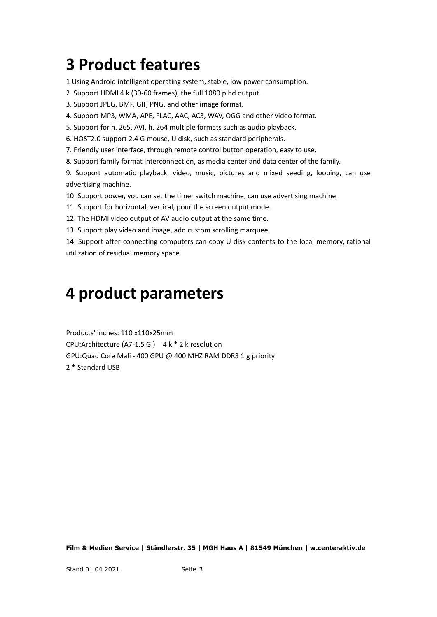# **3 Product features**

1 Using Android intelligent operating system, stable, low power consumption.

2. Support HDMI 4 k (30-60 frames), the full 1080 p hd output.

3. Support JPEG, BMP, GIF, PNG, and other image format.

4. Support MP3, WMA, APE, FLAC, AAC, AC3, WAV, OGG and other video format.

5. Support for h. 265, AVI, h. 264 multiple formats such as audio playback.

6. HOST2.0 support 2.4 G mouse, U disk, such as standard peripherals.

7. Friendly user interface, through remote control button operation, easy to use.

8. Support family format interconnection, as media center and data center of the family.

9. Support automatic playback, video, music, pictures and mixed seeding, looping, can use advertising machine.

10. Support power, you can set the timer switch machine, can use advertising machine.

11. Support for horizontal, vertical, pour the screen output mode.

12. The HDMI video output of AV audio output at the same time.

13. Support play video and image, add custom scrolling marquee.

14. Support after connecting computers can copy U disk contents to the local memory, rational utilization of residual memory space.

# **4 product parameters**

Products' inches: 110 x110x25mm CPU:Architecture (A7-1.5 G ) 4 k \* 2 k resolution GPU:Quad Core Mali - 400 GPU @ 400 MHZ RAM DDR3 1 g priority 2 \* Standard USB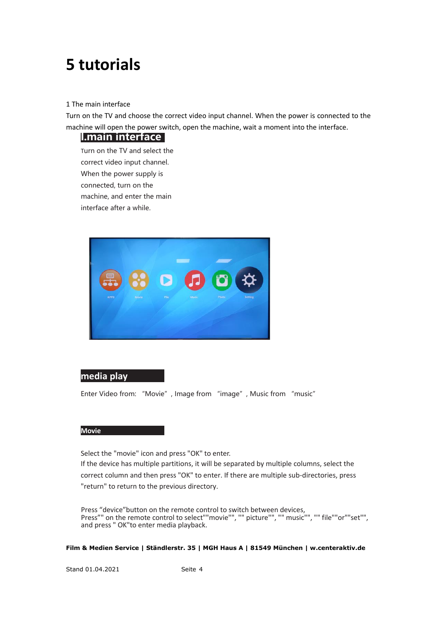## **5 tutorials**

#### 1 The main interface

Turn on the TV and choose the correct video input channel. When the power is connected to the machine will open the power switch, open the machine, wait a moment into the interface.

### **I.main interface**

Turn on the TV and select the correct video input channel. When the power supply is connected, turn on the machine, and enter the main interface after a while.



### **media play**

Enter Video from: "Movie", Image from "image", Music from "music"

#### **Movie**

Select the "movie" icon and press "OK" to enter. If the device has multiple partitions, it will be separated by multiple columns, select the correct column and then press "OK" to enter. If there are multiple sub-directories, press "return" to return to the previous directory.

Press "device"button on the remote control to switch between devices, Press"" on the remote control to select""movie"", "" picture"", "" music"", "" file""or""set"", and press " OK"to enter media playback.

#### **Film & Medien Service | Ständlerstr. 35 | MGH Haus A | 81549 München | w.centeraktiv.de**

Stand 01.04.2021 Seite 4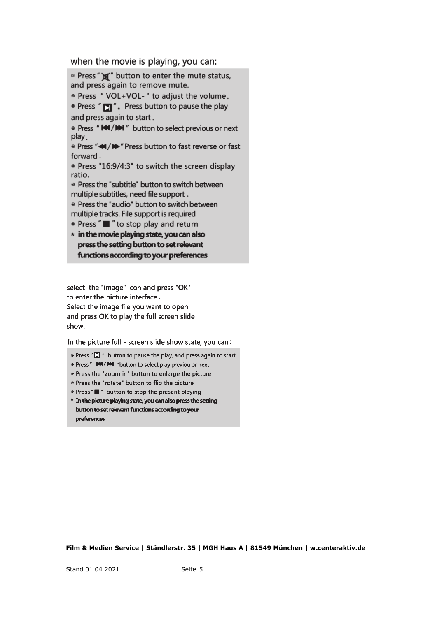when the movie is playing, you can:

® Press" M' button to enter the mute status, and press again to remove mute.

® Press " VOL+VOL-" to adjust the volume.

. Press " ■ ". Press button to pause the play and press again to start.

<sup>®</sup> Press "KI/>> " button to select previous or next play.

. Press "< /> **(A)** Press button to fast reverse or fast forward.

® Press "16:9/4:3" to switch the screen display ratio.

<sup>®</sup> Press the "subtitle" button to switch between multiple subtitles, need file support.

<sup>®</sup> Press the "audio" button to switch between multiple tracks. File support is required

. Press "■ " to stop play and return

\* in the movie playing state, you can also press the setting button to set relevant functions according to your preferences

select the "image" icon and press "OK" to enter the picture interface. Select the image file you want to open and press OK to play the full screen slide show.

In the picture full - screen slide show state, you can:

- . Press " D " button to pause the play, and press again to start
- . Press " KI/>> "button to select play previou or next
- \* Press the "zoom in" button to enlarge the picture
- . Press the "rotate" button to flip the picture
- Press "■ " button to stop the present playing
- \* In the picture playing state, you can also press the setting button to set relevant functions according to your preferences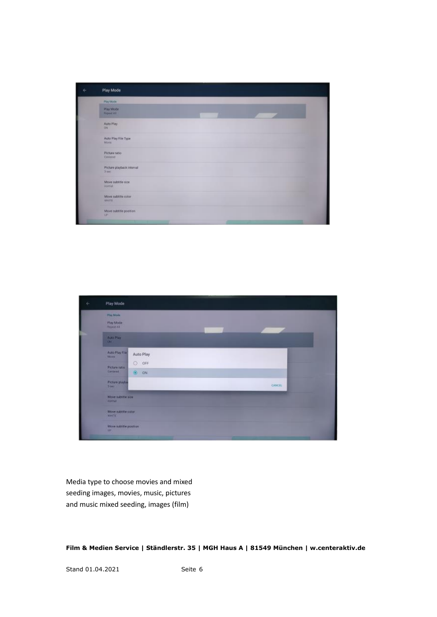| Play Mode                                     |  |  |
|-----------------------------------------------|--|--|
| <b>Flay Mode</b>                              |  |  |
| Pay Mode<br>Nipoli All                        |  |  |
| Auto Play<br>OH                               |  |  |
| Auto Play File Type<br>Movie                  |  |  |
| Picture ratio<br>Centered                     |  |  |
| Picture playback interval<br>$2 \, \text{nm}$ |  |  |
| Move subtitle size.<br>888<br>namel           |  |  |
| Move subtitle color<br><b>WHITE</b>           |  |  |
| Move subtitle postion.<br><b>LIFE</b>         |  |  |



Media type to choose movies and mixed seeding images, movies, music, pictures and music mixed seeding, images (film)

**Film & Medien Service | Ständlerstr. 35 | MGH Haus A | 81549 München | w.centeraktiv.de**

Stand 01.04.2021 Seite 6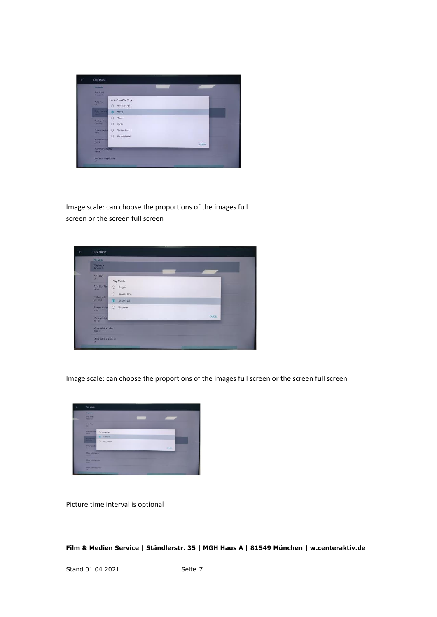| <b>Play Mode</b>                            |                                                   |        |
|---------------------------------------------|---------------------------------------------------|--------|
| <b>Fur Mode</b><br><b>Assess AL</b>         |                                                   |        |
| Auto Play<br>DN                             | Auto Play File Type<br>$\circ$<br>Movie/Photo     |        |
| Auto Play File<br><b>Actual</b>             | $\circ$<br>Movie                                  |        |
| Picture form<br>Cettered                    | $\circ$<br>Music<br>$\circ$<br>Photo              |        |
| Picture playtia<br>$1 + 1$<br>Move subtitle | $\circ$<br>Photo/Music<br>$\circ$<br>Photo(Mavie) |        |
| terrail<br>                                 |                                                   | CANTEL |
| Move substite color<br><b>WHITE</b>         |                                                   |        |

Image scale: can choose the proportions of the images full screen or the screen full screen

| Play Mode                                     |                                                   |        |  |
|-----------------------------------------------|---------------------------------------------------|--------|--|
| Piny Mode                                     |                                                   |        |  |
| Play Mode<br><b>Report all</b>                |                                                   |        |  |
| Auto Ptay<br>$\infty$                         | Play Mode                                         |        |  |
| Auto Play File<br><b>Mreis</b>                | Ö<br>Single                                       |        |  |
| Picture ratio<br><b>Comment</b>               | $\circ$<br>Repeat One                             |        |  |
| Picture plastia<br><b>THE</b>                 | $\circledcirc$<br>Repeat All<br>$\circ$<br>Random |        |  |
| Move subtitle<br><b><i><u>Assempt</u></i></b> |                                                   | CANCE: |  |
| Move subtitle color<br><b>WHITE</b><br>œ      |                                                   |        |  |
| Move subtitle position<br><b>COL</b>          |                                                   |        |  |

Image scale: can choose the proportions of the images full screen or the screen full screen



Picture time interval is optional

**Film & Medien Service | Ständlerstr. 35 | MGH Haus A | 81549 München | w.centeraktiv.de**

Stand 01.04.2021 Seite 7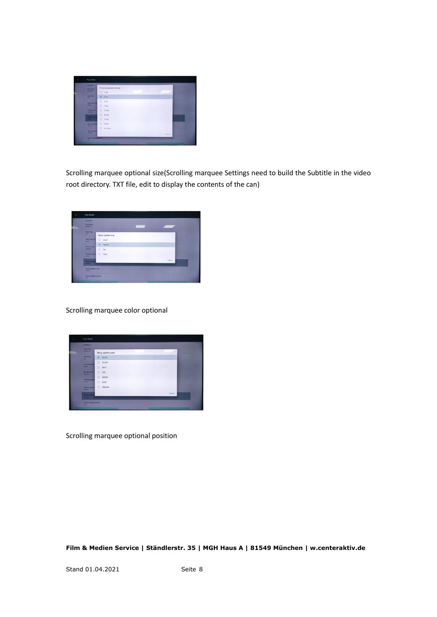| <b>Play Mode</b><br><b>Play Mode</b> | Picture playback interval |               |
|--------------------------------------|---------------------------|---------------|
| <b>Repair AS</b>                     | $O$ 1 sec                 |               |
| Auto Play<br>w                       | $62.3$ are:               |               |
| <b>ALEN Play File</b>                | $O$ 5 sec                 |               |
| <b>STATE</b>                         | $O$ 7 sec                 |               |
| Picture ratio<br>Contained           | C 15 sec                  |               |
|                                      | $O = 30$ sec              |               |
| <b>Picture</b>                       | $O$ 1 min                 |               |
| Move subtitle<br><b>Horse</b>        | $O$ 3 min                 |               |
| <b>Move militire</b>                 | O No cycle                |               |
| <b>WHITE</b>                         |                           | <b>CANCEL</b> |

Scrolling marquee optional size(Scrolling marquee Settings need to build the Subtitle in the video root directory. TXT file, edit to display the contents of the can)

| <b>Play Mode</b>                     |                    |       |  |
|--------------------------------------|--------------------|-------|--|
| <b>Flay Mode</b><br><b>Report AT</b> |                    |       |  |
| <b>Auto Play</b><br><b>Chi</b>       | Move subtitle size |       |  |
| Asto Play File<br>More               | $O$ small          |       |  |
| Picture (atto                        | $@$ normal         |       |  |
| Centered                             | $\circ$<br>big     |       |  |
| Picture playtos<br>3.660             | $\circ$<br>large   |       |  |
| Move subtitle<br><b>Rend</b>         |                    | cares |  |
| Move subittle color<br><b>WHITE</b>  |                    |       |  |

Scrolling marquee color optional



Scrolling marquee optional position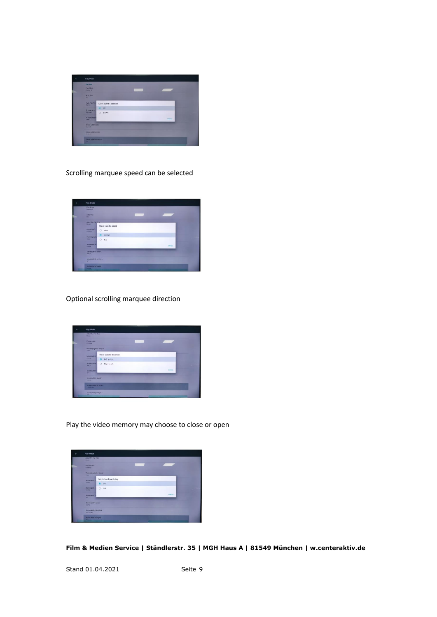

Scrolling marquee speed can be selected



Optional scrolling marquee direction



Play the video memory may choose to close or open

| $\mathcal{L}$ | Play Mode                                 |                       |      |  |
|---------------|-------------------------------------------|-----------------------|------|--|
|               | Auto Play File Type<br><b>More</b>        |                       |      |  |
|               | Picture ratio<br><b>Dettered</b>          |                       |      |  |
|               | Picture playback interval<br><b>Boot</b>  |                       |      |  |
|               | Mave substite:                            | Movie breakpoint play |      |  |
|               | <b><i><u>recent</u></i></b>               | 60.055                |      |  |
|               | Move substitu-<br><b>WHITE</b>            | $O$ ON                |      |  |
|               | Move mintle<br>w                          |                       | cure |  |
|               | Move subtitle speed<br>nomed              |                       |      |  |
|               | Move subtitle direction<br>Left for right |                       |      |  |
|               | Movie breakgoint play<br>w                |                       |      |  |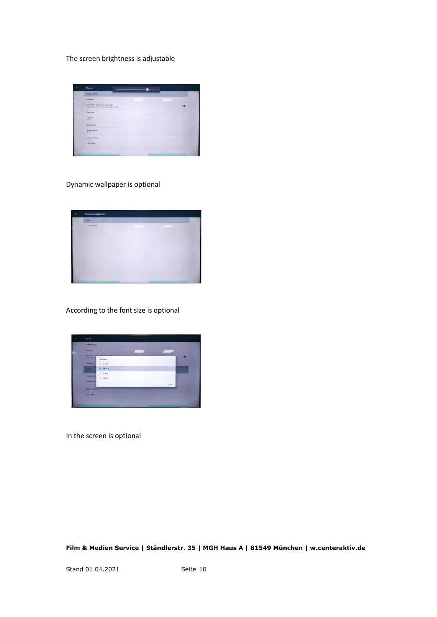### The screen brightness is adjustable

| drightness level                                                                         |  |  |
|------------------------------------------------------------------------------------------|--|--|
| <b>Wallpaper</b>                                                                         |  |  |
| Press power button twice for camera<br>thistly open camera without unto sing your screen |  |  |
| Daudream                                                                                 |  |  |
| Font mze.<br>Nomal                                                                       |  |  |
| Screen Zoom                                                                              |  |  |
| Screen rotation<br>w                                                                     |  |  |
| Output Interface                                                                         |  |  |
| <b>HDMI Mode</b>                                                                         |  |  |

#### Dynamic wallpaper is optional



#### According to the font size is optional



In the screen is optional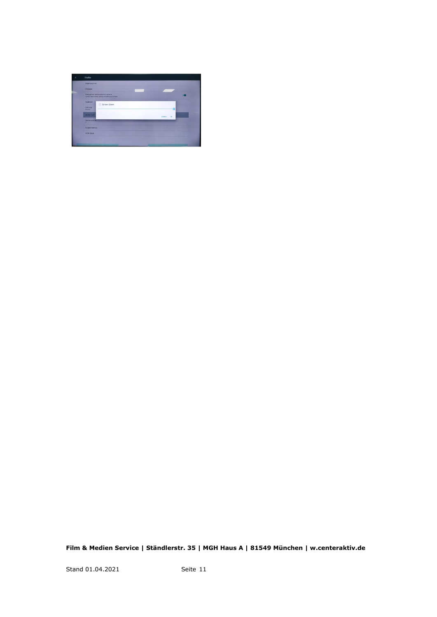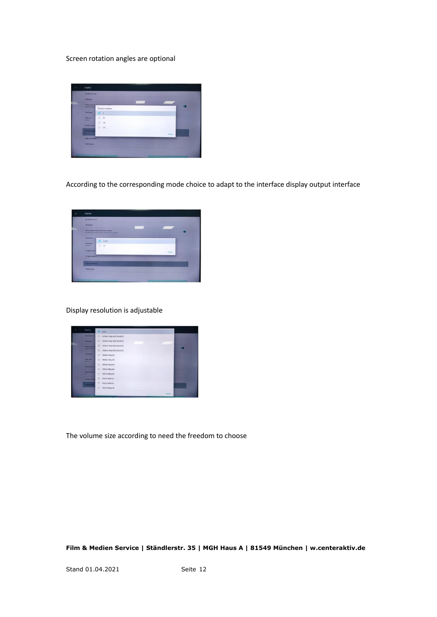Screen rotation angles are optional



According to the corresponding mode choice to adapt to the interface display output interface



Display resolution is adjustable

| Display                    |         | <b><i>C</i></b> auto    |               |
|----------------------------|---------|-------------------------|---------------|
| <b>Bightress No.</b>       | $\circ$ | 4096x2160p-60/YCbCr420  |               |
| Walberg                    | $\circ$ | 4096x2160p-50(YCbCr420) |               |
| <b>Proto powers</b>        | $\circ$ | 3840x2160p-60(YCbCr420) |               |
| <b>Diabity open to</b>     | $\circ$ | 3840x2160p-50(YCbCr420) |               |
| Daydream.                  | $\circ$ | 3840x2160p-30           |               |
| Fore size<br><b>Formal</b> | $\circ$ | 3840x2160p-25           |               |
| Screen Zoom                | $\circ$ | 3840x2160p-24           |               |
|                            | $\circ$ | 1920x1080p-60           |               |
| Screen rotatio<br>m        | $\circ$ | 1920x1000p-50           |               |
| <b>Output Innertial</b>    | $\circ$ | 1920x1080i-60           |               |
| <b>FORESTON</b>            | $\circ$ | 1920x1080i-50           |               |
|                            | $\circ$ | 1920x1080p-30           |               |
|                            |         |                         | <b>CANCEL</b> |

The volume size according to need the freedom to choose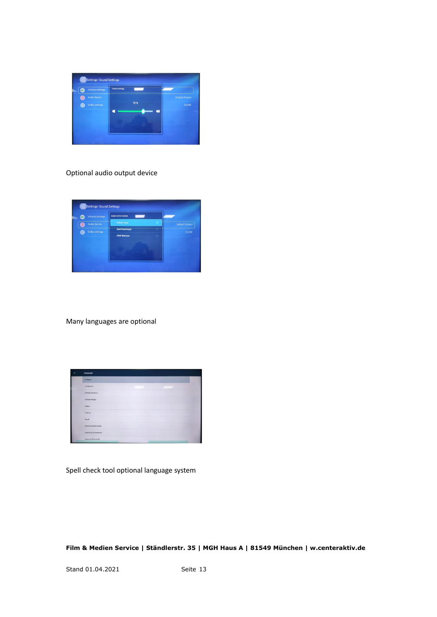

#### Optional audio output device



Many languages are optional

| Language                |
|-------------------------|
| Afrikaans               |
| Azərbaycan              |
| <b>Bahasa Indonesia</b> |
| <b>Bahasa Melayu</b>    |
| Catalá                  |
| Ceitina                 |
| Dansk                   |
| Deutsch (Deutschland)   |
| Deutsch (Liechtenstein) |
| Deutsch (Daterreich)    |

Spell check tool optional language system